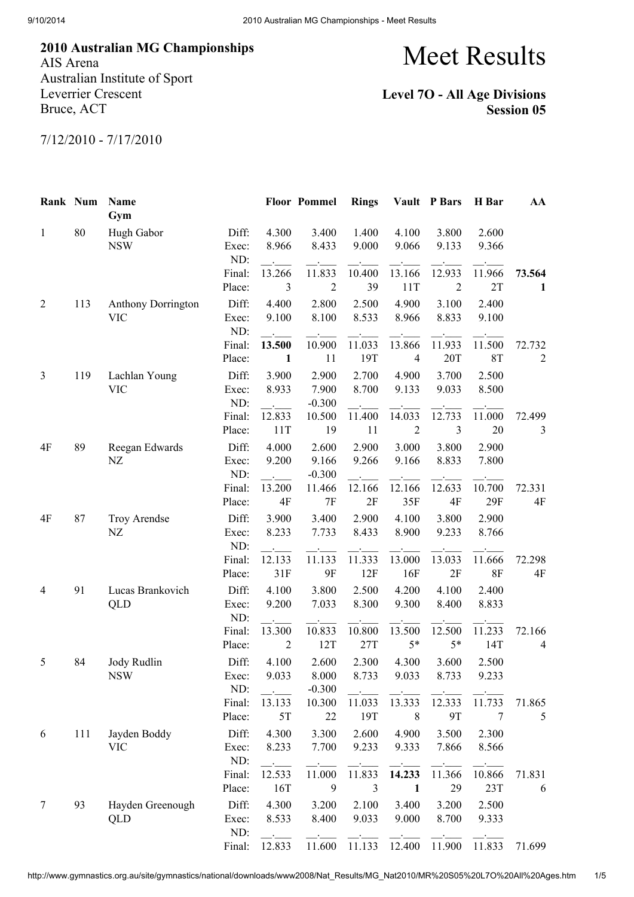2010 Australian MG Championships AIS Arena Australian Institute of Sport Leverrier Crescent

Bruce, ACT

## Meet Results

## Level 7O - All Age Divisions Session 05

7/12/2010 - 7/17/2010

| Rank Num       |     | Name<br>Gym                      |                       |                                           | <b>Floor Pommel</b>        | <b>Rings</b>                                |                          | Vault P Bars             | H Bar               | AA                       |
|----------------|-----|----------------------------------|-----------------------|-------------------------------------------|----------------------------|---------------------------------------------|--------------------------|--------------------------|---------------------|--------------------------|
| $\mathbf{1}$   | 80  | Hugh Gabor<br><b>NSW</b>         | Diff:<br>Exec:<br>ND: | 4.300<br>8.966                            | 3.400<br>8.433             | 1.400<br>9.000                              | 4.100<br>9.066           | 3.800<br>9.133           | 2.600<br>9.366      |                          |
|                |     |                                  | Final:<br>Place:      | 13.266<br>$\mathfrak{Z}$                  | 11.833<br>$\overline{2}$   | 10.400<br>39                                | 13.166<br>11T            | 12.933<br>$\overline{2}$ | 11.966<br>2T        | 73.564<br>1              |
| 2              | 113 | Anthony Dorrington<br><b>VIC</b> | Diff:<br>Exec:<br>ND: | 4.400<br>9.100                            | 2.800<br>8.100             | 2.500<br>8.533                              | 4.900<br>8.966           | 3.100<br>8.833           | 2.400<br>9.100      |                          |
|                |     |                                  | Final:<br>Place:      | 13.500<br>$\mathbf{1}$                    | 10.900<br>11               | 11.033<br>19T                               | 13.866<br>$\overline{4}$ | 11.933<br>20T            | 11.500<br><b>8T</b> | 72.732<br>$\overline{2}$ |
| 3              | 119 | Lachlan Young<br><b>VIC</b>      | Diff:<br>Exec:<br>ND: | 3.900<br>8.933<br>$\sim 10^{-10}$         | 2.900<br>7.900<br>$-0.300$ | 2.700<br>8.700<br>$\mathbf{A}^{\text{max}}$ | 4.900<br>9.133           | 3.700<br>9.033           | 2.500<br>8.500      |                          |
|                |     |                                  | Final:<br>Place:      | 12.833<br>11T                             | 10.500<br>19               | 11.400<br>11                                | 14.033<br>$\overline{2}$ | 12.733<br>3              | 11.000<br>20        | 72.499<br>3              |
| 4F             | 89  | Reegan Edwards<br>NZ             | Diff:<br>Exec:<br>ND: | 4.000<br>9.200<br>$\sim 100$ km s $^{-1}$ | 2.600<br>9.166<br>$-0.300$ | 2.900<br>9.266                              | 3.000<br>9.166           | 3.800<br>8.833           | 2.900<br>7.800      |                          |
|                |     |                                  | Final:<br>Place:      | 13.200<br>4F                              | 11.466<br>7F               | 12.166<br>2F                                | 12.166<br>35F            | 12.633<br>4F             | 10.700<br>29F       | 72.331<br>4F             |
| 4F             | 87  | Troy Arendse<br>NZ               | Diff:<br>Exec:<br>ND: | 3.900<br>8.233                            | 3.400<br>7.733             | 2.900<br>8.433                              | 4.100<br>8.900           | 3.800<br>9.233           | 2.900<br>8.766      |                          |
|                |     |                                  | Final:<br>Place:      | 12.133<br>31F                             | 11.133<br>9F               | 11.333<br>12F                               | 13.000<br>16F            | 13.033<br>2F             | 11.666<br><b>8F</b> | 72.298<br>$4\mathrm{F}$  |
| $\overline{4}$ | 91  | Lucas Brankovich<br>QLD          | Diff:<br>Exec:<br>ND: | 4.100<br>9.200                            | 3.800<br>7.033             | 2.500<br>8.300                              | 4.200<br>9.300           | 4.100<br>8.400           | 2.400<br>8.833      |                          |
|                |     |                                  | Final:<br>Place:      | 13.300<br>$\overline{2}$                  | 10.833<br>12T              | 10.800<br>27T                               | 13.500<br>$5*$           | 12.500<br>$5*$           | 11.233<br>14T       | 72.166<br>$\overline{4}$ |
| 5              | 84  | Jody Rudlin<br><b>NSW</b>        | Diff:<br>Exec:<br>ND: | 4.100<br>9.033                            | 2.600<br>8.000<br>$-0.300$ | 2.300<br>8.733                              | 4.300<br>9.033           | 3.600<br>8.733           | 2.500<br>9.233      |                          |
|                |     |                                  | Final:<br>Place:      | 13.133<br>5T                              | 10.300<br>22               | 11.033<br>19T                               | 13.333<br>$\,8\,$        | 12.333<br>9T             | 11.733<br>7         | 71.865<br>5              |
| 6              | 111 | Jayden Boddy<br><b>VIC</b>       | Diff:<br>Exec:<br>ND: | 4.300<br>8.233                            | 3.300<br>7.700             | 2.600<br>9.233                              | 4.900<br>9.333           | 3.500<br>7.866           | 2.300<br>8.566      |                          |
|                |     |                                  | Final:<br>Place:      | 12.533<br>16T                             | 11.000<br>9                | 11.833<br>3                                 | 14.233<br>1              | 11.366<br>29             | 10.866<br>23T       | 71.831<br>6              |
| 7              | 93  | Hayden Greenough<br>QLD          | Diff:<br>Exec:<br>ND: | 4.300<br>8.533                            | 3.200<br>8.400             | 2.100<br>9.033                              | 3.400<br>9.000           | 3.200<br>8.700           | 2.500<br>9.333      |                          |
|                |     |                                  | Final:                | 12.833                                    | 11.600                     | 11.133                                      | 12.400                   | 11.900                   | 11.833              | 71.699                   |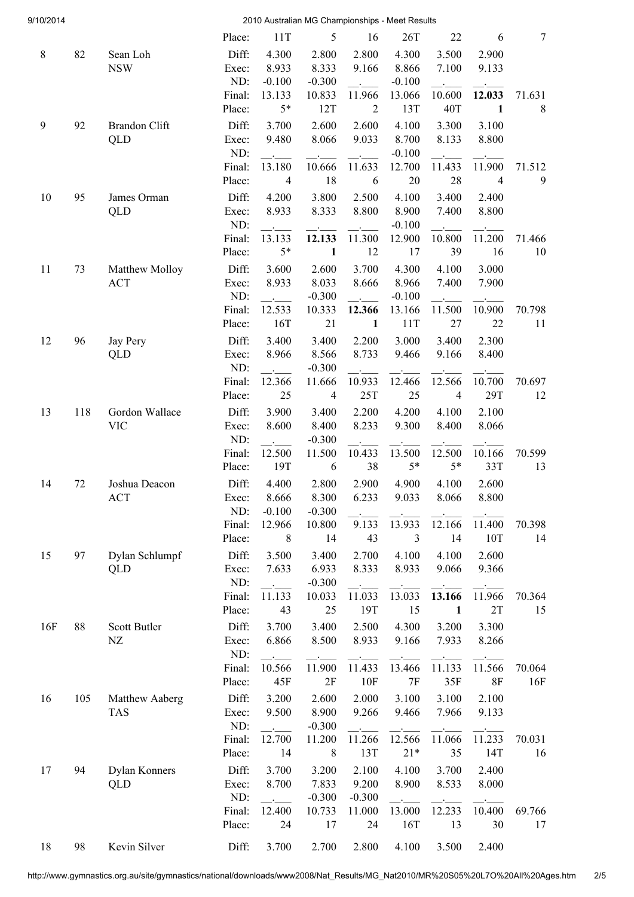| 9/10/2014 |     |                 |              |                            | 2010 Australian MG Championships - Meet Results |                           |                    |                |                |                |
|-----------|-----|-----------------|--------------|----------------------------|-------------------------------------------------|---------------------------|--------------------|----------------|----------------|----------------|
|           |     |                 | Place:       | 11T                        | 5                                               | 16                        | 26T                | 22             | 6              | $\overline{7}$ |
| $8\,$     | 82  | Sean Loh        | Diff:        | 4.300                      | 2.800                                           | 2.800                     | 4.300              | 3.500          | 2.900          |                |
|           |     | <b>NSW</b>      | Exec:        | 8.933                      | 8.333                                           | 9.166                     | 8.866              | 7.100          | 9.133          |                |
|           |     |                 | ND:          | $-0.100$                   | $-0.300$                                        |                           | $-0.100$           |                |                |                |
|           |     |                 | Final:       | 13.133                     | 10.833                                          | 11.966                    | 13.066             | 10.600         | 12.033         | 71.631         |
|           |     |                 | Place:       | $5*$                       | 12T                                             | 2                         | 13T                | 40T            | $\mathbf{1}$   | 8              |
| 9         | 92  | Brandon Clift   | Diff:        | 3.700                      | 2.600                                           | 2.600                     | 4.100              | 3.300          | 3.100          |                |
|           |     | QLD             | Exec:        | 9.480                      | 8.066                                           | 9.033                     | 8.700              | 8.133          | 8.800          |                |
|           |     |                 | ND:          |                            |                                                 |                           | $-0.100$           |                |                |                |
|           |     |                 | Final:       | 13.180                     | 10.666                                          | 11.633                    | 12.700             | 11.433         | 11.900         | 71.512         |
|           |     |                 | Place:       | $\overline{4}$             | 18                                              | 6                         | 20                 | 28             | $\overline{4}$ | 9              |
| 10        | 95  | James Orman     | Diff:        | 4.200                      | 3.800                                           | 2.500                     | 4.100              | 3.400          | 2.400          |                |
|           |     | QLD             | Exec:        | 8.933                      | 8.333                                           | 8.800                     | 8.900              | 7.400          | 8.800          |                |
|           |     |                 | ND:          |                            |                                                 |                           | $-0.100$           |                |                |                |
|           |     |                 | Final:       | 13.133<br>$5*$             | 12.133<br>$\mathbf{1}$                          | 11.300<br>12              | 12.900<br>17       | 10.800<br>39   | 11.200<br>16   | 71.466         |
|           |     |                 | Place:       |                            |                                                 |                           |                    |                |                | 10             |
| 11        | 73  | Matthew Molloy  | Diff:        | 3.600                      | 2.600                                           | 3.700                     | 4.300              | 4.100          | 3.000          |                |
|           |     | <b>ACT</b>      | Exec:<br>ND: | 8.933                      | 8.033                                           | 8.666                     | 8.966              | 7.400          | 7.900          |                |
|           |     |                 | Final:       | $\sim$<br>12.533           | $-0.300$<br>10.333                              | <b>Contract</b><br>12.366 | $-0.100$<br>13.166 | 11.500         | 10.900         | 70.798         |
|           |     |                 | Place:       | 16T                        | 21                                              | $\mathbf{1}$              | 11T                | 27             | 22             | 11             |
|           | 96  |                 | Diff:        | 3.400                      | 3.400                                           |                           | 3.000              | 3.400          | 2.300          |                |
| 12        |     | Jay Pery<br>QLD | Exec:        | 8.966                      | 8.566                                           | 2.200<br>8.733            | 9.466              | 9.166          | 8.400          |                |
|           |     |                 | ND:          |                            | $-0.300$                                        |                           |                    |                |                |                |
|           |     |                 | Final:       | 12.366                     | 11.666                                          | 10.933                    | 12.466             | 12.566         | 10.700         | 70.697         |
|           |     |                 | Place:       | 25                         | $\overline{4}$                                  | 25T                       | 25                 | $\overline{4}$ | 29T            | 12             |
| 13        | 118 | Gordon Wallace  | Diff:        | 3.900                      | 3.400                                           | 2.200                     | 4.200              | 4.100          | 2.100          |                |
|           |     | <b>VIC</b>      | Exec:        | 8.600                      | 8.400                                           | 8.233                     | 9.300              | 8.400          | 8.066          |                |
|           |     |                 | ND:          |                            | $-0.300$                                        |                           |                    |                |                |                |
|           |     |                 | Final:       | 12.500                     | 11.500                                          | 10.433                    | 13.500             | 12.500         | 10.166         | 70.599         |
|           |     |                 | Place:       | 19T                        | 6                                               | 38                        | $5*$               | $5*$           | 33T            | 13             |
| 14        | 72  | Joshua Deacon   | Diff:        | 4.400                      | 2.800                                           | 2.900                     | 4.900              | 4.100          | 2.600          |                |
|           |     | <b>ACT</b>      | Exec:        | 8.666                      | 8.300                                           | 6.233                     | 9.033              | 8.066          | 8.800          |                |
|           |     |                 | ND:          | $-0.100$                   | $-0.300$                                        |                           |                    |                |                |                |
|           |     |                 | Final:       | 12.966                     | 10.800                                          | 9.133                     | 13.933             | 12.166         | 11.400         | 70.398         |
|           |     |                 | Place:       | 8                          | 14                                              | 43                        | 3                  | 14             | 10T            | 14             |
| 15        | 97  | Dylan Schlumpf  | Diff:        | 3.500                      | 3.400                                           | 2.700                     | 4.100              | 4.100          | 2.600          |                |
|           |     | QLD             | Exec:        | 7.633                      | 6.933                                           | 8.333                     | 8.933              | 9.066          | 9.366          |                |
|           |     |                 | ND:          | $\mathcal{L}^{\text{max}}$ | $-0.300$                                        |                           |                    |                |                |                |
|           |     |                 | Final:       | 11.133                     | 10.033                                          | 11.033                    | 13.033             | 13.166         | 11.966         | 70.364         |
|           |     |                 | Place:       | 43                         | 25                                              | 19T                       | 15                 | $\mathbf{1}$   | 2T             | 15             |
| 16F       | 88  | Scott Butler    | Diff:        | 3.700                      | 3.400                                           | 2.500                     | 4.300              | 3.200          | 3.300          |                |
|           |     | ${\rm NZ}$      | Exec:        | 6.866                      | 8.500                                           | 8.933                     | 9.166              | 7.933          | 8.266          |                |
|           |     |                 | ND:          |                            |                                                 |                           |                    |                |                |                |
|           |     |                 | Final:       | 10.566                     | 11.900                                          | 11.433                    | 13.466             | 11.133         | 11.566         | 70.064         |
|           |     |                 | Place:       | 45F                        | 2F                                              | 10F                       | 7F                 | 35F            | 8F             | 16F            |
| 16        | 105 | Matthew Aaberg  | Diff:        | 3.200                      | 2.600                                           | 2.000                     | 3.100              | 3.100          | 2.100          |                |
|           |     | <b>TAS</b>      | Exec:        | 9.500                      | 8.900                                           | 9.266                     | 9.466              | 7.966          | 9.133          |                |
|           |     |                 | ND:          |                            | $-0.300$                                        |                           |                    |                |                |                |
|           |     |                 | Final:       | 12.700                     | 11.200                                          | 11.266                    | 12.566             | 11.066         | 11.233         | 70.031         |
|           |     |                 | Place:       | 14                         | 8                                               | 13T                       | $21*$              | 35             | 14T            | 16             |
| 17        | 94  | Dylan Konners   | Diff:        | 3.700                      | 3.200                                           | 2.100                     | 4.100              | 3.700          | 2.400          |                |
|           |     | QLD             | Exec:        | 8.700                      | 7.833                                           | 9.200                     | 8.900              | 8.533          | 8.000          |                |
|           |     |                 | ND:          |                            | $-0.300$                                        | $-0.300$                  |                    |                |                |                |
|           |     |                 | Final:       | 12.400                     | 10.733                                          | 11.000                    | 13.000             | 12.233         | 10.400         | 69.766         |
|           |     |                 | Place:       | 24                         | 17                                              | 24                        | 16T                | 13             | 30             | 17             |
| 18        | 98  | Kevin Silver    | Diff:        | 3.700                      | 2.700                                           | 2.800                     | 4.100              | 3.500          | 2.400          |                |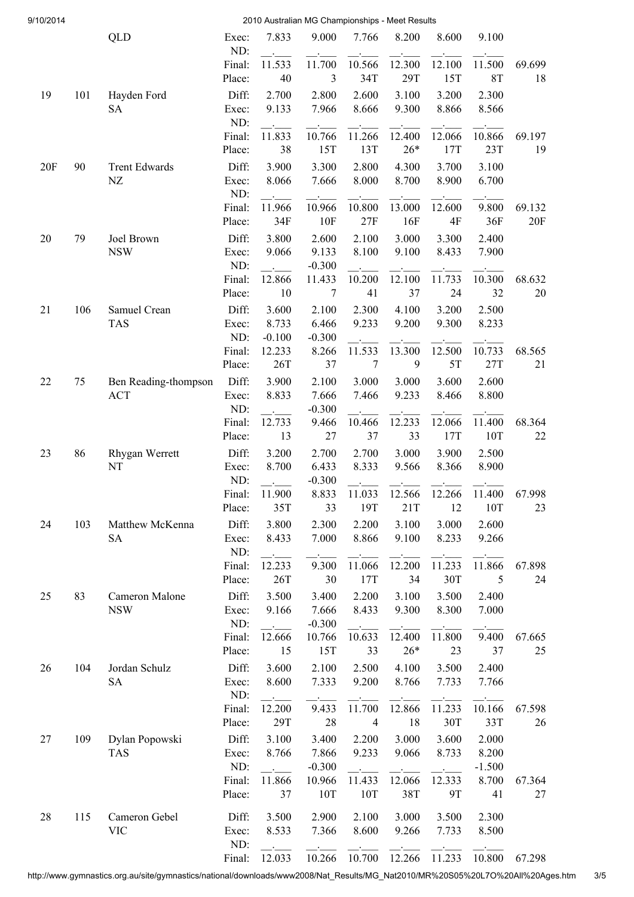| 9/10/2014 |     |                              |                  |                   | 2010 Australian MG Championships - Meet Results |                |                 |                |                   |              |
|-----------|-----|------------------------------|------------------|-------------------|-------------------------------------------------|----------------|-----------------|----------------|-------------------|--------------|
|           |     | QLD                          | Exec:            | 7.833             | 9.000                                           | 7.766          | 8.200           | 8.600          | 9.100             |              |
|           |     |                              | ND:<br>Final:    | 11.533            | 11.700                                          | 10.566         | 12.300          | 12.100         | 11.500            | 69.699       |
|           |     |                              | Place:           | 40                | 3                                               | 34T            | 29T             | 15T            | <b>8T</b>         | 18           |
| 19        | 101 | Hayden Ford                  | Diff:            | 2.700             | 2.800                                           | 2.600          | 3.100           | 3.200          | 2.300             |              |
|           |     | <b>SA</b>                    | Exec:            | 9.133             | 7.966                                           | 8.666          | 9.300           | 8.866          | 8.566             |              |
|           |     |                              | ND:              |                   |                                                 |                |                 |                |                   |              |
|           |     |                              | Final:<br>Place: | 11.833<br>38      | 10.766<br>15T                                   | 11.266<br>13T  | 12.400<br>$26*$ | 12.066<br>17T  | 10.866<br>23T     | 69.197<br>19 |
| 20F       | 90  | <b>Trent Edwards</b>         | Diff:            | 3.900             | 3.300                                           | 2.800          | 4.300           | 3.700          | 3.100             |              |
|           |     | NZ                           | Exec:            | 8.066             | 7.666                                           | 8.000          | 8.700           | 8.900          | 6.700             |              |
|           |     |                              | ND:              |                   |                                                 |                |                 |                |                   |              |
|           |     |                              | Final:           | 11.966            | 10.966                                          | 10.800         | 13.000          | 12.600         | 9.800             | 69.132       |
|           |     |                              | Place:           | 34F               | 10F                                             | 27F            | 16F             | 4F             | 36F               | 20F          |
| 20        | 79  | Joel Brown                   | Diff:            | 3.800             | 2.600                                           | 2.100          | 3.000           | 3.300          | 2.400             |              |
|           |     | <b>NSW</b>                   | Exec:            | 9.066             | 9.133                                           | 8.100          | 9.100           | 8.433          | 7.900             |              |
|           |     |                              | ND:<br>Final:    | 12.866            | $-0.300$<br>11.433                              | 10.200         | 12.100          | 11.733         | 10.300            | 68.632       |
|           |     |                              | Place:           | 10                | $\overline{7}$                                  | 41             | 37              | 24             | 32                | 20           |
| 21        | 106 | Samuel Crean                 | Diff:            | 3.600             | 2.100                                           | 2.300          | 4.100           | 3.200          | 2.500             |              |
|           |     | <b>TAS</b>                   | Exec:            | 8.733             | 6.466                                           | 9.233          | 9.200           | 9.300          | 8.233             |              |
|           |     |                              | ND:              | $-0.100$          | $-0.300$                                        |                |                 |                |                   |              |
|           |     |                              | Final:           | 12.233            | 8.266                                           | 11.533         | 13.300          | 12.500         | 10.733            | 68.565       |
|           |     |                              | Place:           | 26T               | 37                                              | $\overline{7}$ | 9               | 5T             | 27T               | 21           |
| 22        | 75  | Ben Reading-thompson         | Diff:            | 3.900             | 2.100                                           | 3.000          | 3.000           | 3.600          | 2.600             |              |
|           |     | <b>ACT</b>                   | Exec:<br>ND:     | 8.833             | 7.666<br>$-0.300$                               | 7.466          | 9.233           | 8.466          | 8.800             |              |
|           |     |                              | Final:           | 12.733            | 9.466                                           | 10.466         | 12.233          | 12.066         | 11.400            | 68.364       |
|           |     |                              | Place:           | 13                | 27                                              | 37             | 33              | 17T            | 10T               | 22           |
| 23        | 86  | Rhygan Werrett               | Diff:            | 3.200             | 2.700                                           | 2.700          | 3.000           | 3.900          | 2.500             |              |
|           |     | NT                           | Exec:            | 8.700             | 6.433                                           | 8.333          | 9.566           | 8.366          | 8.900             |              |
|           |     |                              | ND:              | $\Delta \sim 100$ | $-0.300$                                        |                |                 |                |                   |              |
|           |     |                              | Final:           | 11.900<br>35T     | 8.833<br>33                                     | 11.033<br>19T  | 12.566          | 12.266<br>12   | 11.400<br>10T     | 67.998<br>23 |
|           |     |                              | Place:           |                   |                                                 |                | 21T             |                |                   |              |
| 24        | 103 | Matthew McKenna<br><b>SA</b> | Diff:<br>Exec:   | 3.800<br>8.433    | 2.300<br>7.000                                  | 2.200<br>8.866 | 3.100<br>9.100  | 3.000<br>8.233 | 2.600<br>9.266    |              |
|           |     |                              | ND:              |                   |                                                 |                |                 |                |                   |              |
|           |     |                              | Final:           | 12.233            | 9.300                                           | 11.066         | 12.200          | 11.233         | 11.866            | 67.898       |
|           |     |                              | Place:           | 26T               | 30                                              | 17T            | 34              | 30T            | 5                 | 24           |
| 25        | 83  | Cameron Malone               | Diff:            | 3.500             | 3.400                                           | 2.200          | 3.100           | 3.500          | 2.400             |              |
|           |     | <b>NSW</b>                   | Exec:            | 9.166             | 7.666                                           | 8.433          | 9.300           | 8.300          | 7.000             |              |
|           |     |                              | ND:<br>Final:    | 12.666            | $-0.300$<br>10.766                              | 10.633         | 12.400          | 11.800         | 9.400             | 67.665       |
|           |     |                              | Place:           | 15                | 15T                                             | 33             | $26*$           | 23             | 37                | 25           |
| 26        | 104 | Jordan Schulz                | Diff:            | 3.600             | 2.100                                           | 2.500          | 4.100           | 3.500          | 2.400             |              |
|           |     | <b>SA</b>                    | Exec:            | 8.600             | 7.333                                           | 9.200          | 8.766           | 7.733          | 7.766             |              |
|           |     |                              | ND:              |                   |                                                 |                |                 |                |                   |              |
|           |     |                              | Final:           | 12.200            | 9.433                                           | 11.700         | 12.866          | 11.233         | 10.166            | 67.598       |
|           |     |                              | Place:           | 29T               | 28                                              | $\overline{4}$ | 18              | 30T            | 33T               | 26           |
| 27        | 109 | Dylan Popowski               | Diff:            | 3.100             | 3.400                                           | 2.200          | 3.000           | 3.600          | 2.000             |              |
|           |     | <b>TAS</b>                   | Exec:<br>ND:     | 8.766             | 7.866<br>$-0.300$                               | 9.233          | 9.066           | 8.733          | 8.200<br>$-1.500$ |              |
|           |     |                              | Final:           | 11.866            | 10.966                                          | 11.433         | 12.066          | 12.333         | 8.700             | 67.364       |
|           |     |                              | Place:           | 37                | 10T                                             | 10T            | 38T             | 9T             | 41                | 27           |
| 28        | 115 | Cameron Gebel                | Diff:            | 3.500             | 2.900                                           | 2.100          | 3.000           | 3.500          | 2.300             |              |
|           |     | <b>VIC</b>                   | Exec:            | 8.533             | 7.366                                           | 8.600          | 9.266           | 7.733          | 8.500             |              |
|           |     |                              | ND:              |                   |                                                 |                |                 |                |                   |              |
|           |     |                              | Final:           | 12.033            | 10.266                                          | 10.700         | 12.266          | 11.233         | 10.800            | 67.298       |

http://www.gymnastics.org.au/site/gymnastics/national/downloads/www2008/Nat\_Results/MG\_Nat2010/MR%20S05%20L7O%20All%20Ages.htm 3/5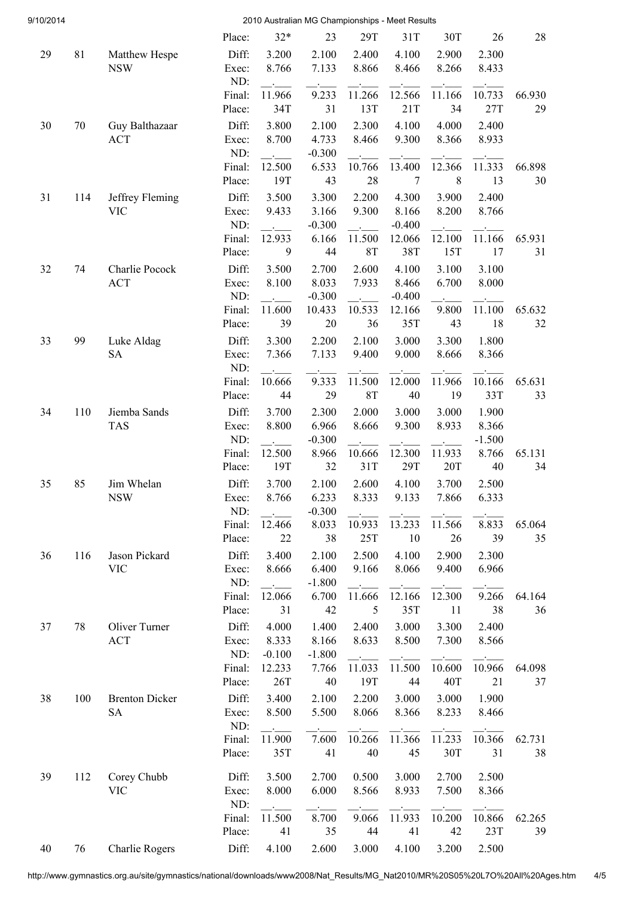| 9/10/2014 |     | 2010 Australian MG Championships - Meet Results |                  |                                  |                   |                    |                   |                |                |              |  |  |
|-----------|-----|-------------------------------------------------|------------------|----------------------------------|-------------------|--------------------|-------------------|----------------|----------------|--------------|--|--|
|           |     |                                                 | Place:           | $32*$                            | 23                | 29T                | 31T               | 30T            | 26             | 28           |  |  |
| 29        | 81  | Matthew Hespe                                   | Diff:            | 3.200                            | 2.100             | 2.400              | 4.100             | 2.900          | 2.300          |              |  |  |
|           |     | <b>NSW</b>                                      | Exec:            | 8.766                            | 7.133             | 8.866              | 8.466             | 8.266          | 8.433          |              |  |  |
|           |     |                                                 | ND:              |                                  |                   |                    |                   |                |                |              |  |  |
|           |     |                                                 | Final:           | 11.966                           | 9.233             | 11.266             | 12.566            | 11.166         | 10.733         | 66.930       |  |  |
|           |     |                                                 | Place:           | 34T                              | 31                | 13T                | 21T               | 34             | 27T            | 29           |  |  |
| 30        | 70  | Guy Balthazaar<br><b>ACT</b>                    | Diff:<br>Exec:   | 3.800<br>8.700                   | 2.100<br>4.733    | 2.300<br>8.466     | 4.100<br>9.300    | 4.000<br>8.366 | 2.400<br>8.933 |              |  |  |
|           |     |                                                 | ND:              |                                  | $-0.300$          |                    |                   |                |                |              |  |  |
|           |     |                                                 | Final:           | 12.500                           | 6.533             | 10.766             | 13.400            | 12.366         | 11.333         | 66.898       |  |  |
|           |     |                                                 | Place:           | 19T                              | 43                | 28                 | $\overline{7}$    | 8              | 13             | 30           |  |  |
| 31        | 114 | Jeffrey Fleming                                 | Diff:            | 3.500                            | 3.300             | 2.200              | 4.300             | 3.900          | 2.400          |              |  |  |
|           |     | <b>VIC</b>                                      | Exec:            | 9.433                            | 3.166             | 9.300              | 8.166             | 8.200          | 8.766          |              |  |  |
|           |     |                                                 | ND:              |                                  | $-0.300$          | $\Delta \sim 10^4$ | $-0.400$          |                |                |              |  |  |
|           |     |                                                 | Final:           | 12.933                           | 6.166             | 11.500             | 12.066            | 12.100         | 11.166         | 65.931       |  |  |
|           |     |                                                 | Place:           | 9                                | 44                | <b>8T</b>          | 38T               | 15T            | 17             | 31           |  |  |
| 32        | 74  | Charlie Pocock                                  | Diff:            | 3.500                            | 2.700             | 2.600              | 4.100             | 3.100          | 3.100          |              |  |  |
|           |     | <b>ACT</b>                                      | Exec:<br>ND:     | 8.100                            | 8.033<br>$-0.300$ | 7.933              | 8.466<br>$-0.400$ | 6.700          | 8.000          |              |  |  |
|           |     |                                                 | Final:           | $\Delta \sim 10^{-11}$<br>11.600 | 10.433            | 10.533             | 12.166            | 9.800          | 11.100         | 65.632       |  |  |
|           |     |                                                 | Place:           | 39                               | 20                | 36                 | 35T               | 43             | 18             | 32           |  |  |
| 33        | 99  | Luke Aldag                                      | Diff:            | 3.300                            | 2.200             | 2.100              | 3.000             | 3.300          | 1.800          |              |  |  |
|           |     | <b>SA</b>                                       | Exec:            | 7.366                            | 7.133             | 9.400              | 9.000             | 8.666          | 8.366          |              |  |  |
|           |     |                                                 | ND:              |                                  |                   |                    |                   |                |                |              |  |  |
|           |     |                                                 | Final:           | 10.666                           | 9.333             | 11.500             | 12.000            | 11.966         | 10.166         | 65.631       |  |  |
|           |     |                                                 | Place:           | 44                               | 29                | <b>8T</b>          | 40                | 19             | 33T            | 33           |  |  |
| 34        | 110 | Jiemba Sands                                    | Diff:            | 3.700                            | 2.300             | 2.000              | 3.000             | 3.000          | 1.900          |              |  |  |
|           |     | <b>TAS</b>                                      | Exec:            | 8.800                            | 6.966             | 8.666              | 9.300             | 8.933          | 8.366          |              |  |  |
|           |     |                                                 | ND:<br>Final:    | 12.500                           | $-0.300$          |                    | 12.300            | 11.933         | $-1.500$       |              |  |  |
|           |     |                                                 | Place:           | 19T                              | 8.966<br>32       | 10.666<br>31T      | 29T               | 20T            | 8.766<br>40    | 65.131<br>34 |  |  |
| 35        | 85  | Jim Whelan                                      | Diff:            | 3.700                            | 2.100             | 2.600              | 4.100             | 3.700          | 2.500          |              |  |  |
|           |     | <b>NSW</b>                                      | Exec:            | 8.766                            | 6.233             | 8.333              | 9.133             | 7.866          | 6.333          |              |  |  |
|           |     |                                                 | ND:              |                                  | $-0.300$          |                    |                   |                |                |              |  |  |
|           |     |                                                 | Final:           | 12.466                           | 8.033             | 10.933             | 13.233            | 11.566         | 8.833          | 65.064       |  |  |
|           |     |                                                 | Place:           | 22                               | 38                | 25T                | 10                | 26             | 39             | 35           |  |  |
| 36        | 116 | Jason Pickard                                   | Diff:            | 3.400                            | 2.100             | 2.500              | 4.100             | 2.900          | 2.300          |              |  |  |
|           |     | <b>VIC</b>                                      | Exec:            | 8.666                            | 6.400             | 9.166              | 8.066             | 9.400          | 6.966          |              |  |  |
|           |     |                                                 | ND:              | $\mathbf{L}^{\text{max}}$        | $-1.800$          |                    |                   |                |                |              |  |  |
|           |     |                                                 | Final:<br>Place: | 12.066<br>31                     | 6.700<br>42       | 11.666<br>5        | 12.166<br>35T     | 12.300<br>11   | 9.266<br>38    | 64.164<br>36 |  |  |
|           |     |                                                 |                  |                                  |                   |                    |                   |                |                |              |  |  |
| 37        | 78  | Oliver Turner<br><b>ACT</b>                     | Diff:<br>Exec:   | 4.000<br>8.333                   | 1.400<br>8.166    | 2.400<br>8.633     | 3.000<br>8.500    | 3.300<br>7.300 | 2.400<br>8.566 |              |  |  |
|           |     |                                                 | ND:              | $-0.100$                         | $-1.800$          |                    |                   |                |                |              |  |  |
|           |     |                                                 | Final:           | 12.233                           | 7.766             | 11.033             | 11.500            | 10.600         | 10.966         | 64.098       |  |  |
|           |     |                                                 | Place:           | 26T                              | 40                | 19T                | 44                | 40T            | 21             | 37           |  |  |
| 38        | 100 | <b>Brenton Dicker</b>                           | Diff:            | 3.400                            | 2.100             | 2.200              | 3.000             | 3.000          | 1.900          |              |  |  |
|           |     | <b>SA</b>                                       | Exec:            | 8.500                            | 5.500             | 8.066              | 8.366             | 8.233          | 8.466          |              |  |  |
|           |     |                                                 | ND:              |                                  |                   |                    |                   |                |                |              |  |  |
|           |     |                                                 | Final:           | 11.900                           | 7.600             | 10.266             | 11.366            | 11.233         | 10.366         | 62.731       |  |  |
|           |     |                                                 | Place:           | 35T                              | 41                | 40                 | 45                | 30T            | 31             | 38           |  |  |
| 39        | 112 | Corey Chubb                                     | Diff:            | 3.500                            | 2.700             | 0.500              | 3.000             | 2.700          | 2.500          |              |  |  |
|           |     | <b>VIC</b>                                      | Exec:            | 8.000                            | 6.000             | 8.566              | 8.933             | 7.500          | 8.366          |              |  |  |
|           |     |                                                 | ND:              |                                  |                   |                    |                   |                |                |              |  |  |
|           |     |                                                 | Final:           | 11.500                           | 8.700             | 9.066              | 11.933            | 10.200         | 10.866         | 62.265       |  |  |
|           |     |                                                 | Place:           | 41                               | 35                | 44                 | 41                | 42             | 23T            | 39           |  |  |
| 40        | 76  | <b>Charlie Rogers</b>                           | Diff:            | 4.100                            | 2.600             | 3.000              | 4.100             | 3.200          | 2.500          |              |  |  |